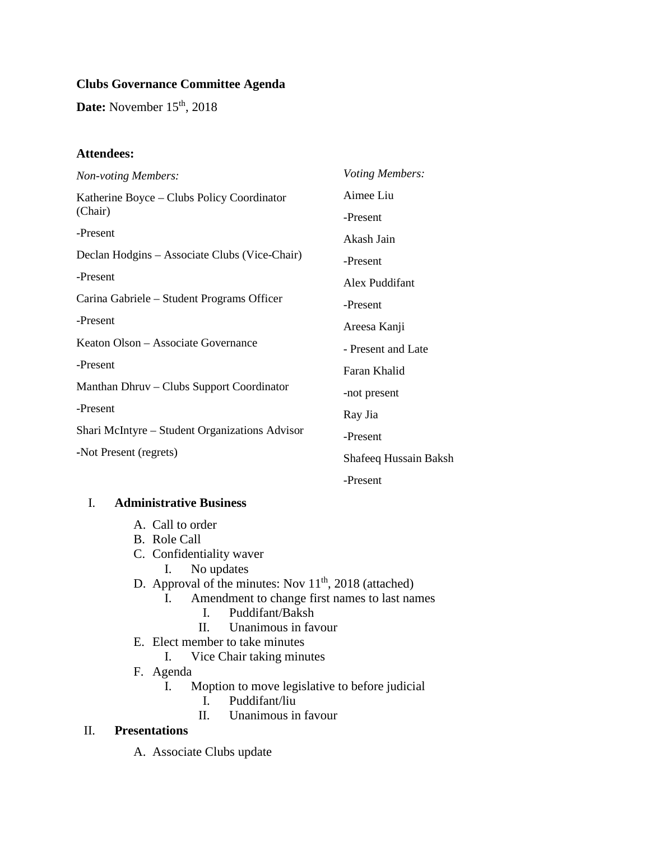# **Clubs Governance Committee Agenda**

**Date:** November 15<sup>th</sup>, 2018

## **Attendees:**

| <b>Non-voting Members:</b>                            | Voting Members:       |
|-------------------------------------------------------|-----------------------|
| Katherine Boyce – Clubs Policy Coordinator<br>(Chair) | Aimee Liu             |
|                                                       | -Present              |
| -Present                                              | Akash Jain            |
| Declan Hodgins – Associate Clubs (Vice-Chair)         | -Present              |
| -Present                                              | Alex Puddifant        |
| Carina Gabriele - Student Programs Officer            | -Present              |
| -Present                                              | Areesa Kanji          |
| Keaton Olson – Associate Governance                   | - Present and Late    |
| -Present                                              | Faran Khalid          |
| Manthan Dhruv – Clubs Support Coordinator             | -not present          |
| -Present                                              | Ray Jia               |
| Shari McIntyre – Student Organizations Advisor        | -Present              |
| -Not Present (regrets)                                | Shafeeq Hussain Baksh |
|                                                       | -Present              |

## I. **Administrative Business**

- A. Call to order
- B. Role Call
- C. Confidentiality waver
	- I. No updates
- D. Approval of the minutes: Nov  $11<sup>th</sup>$ , 2018 (attached)
	- I. Amendment to change first names to last names
		- I. Puddifant/Baksh<br>II. Unanimous in fav
		- Unanimous in favour
- E. Elect member to take minutes
	- I. Vice Chair taking minutes
- F. Agenda
	- I. Moption to move legislative to before judicial
		- I. Puddifant/liu
		- II. Unanimous in favour

## II. **Presentations**

A. Associate Clubs update